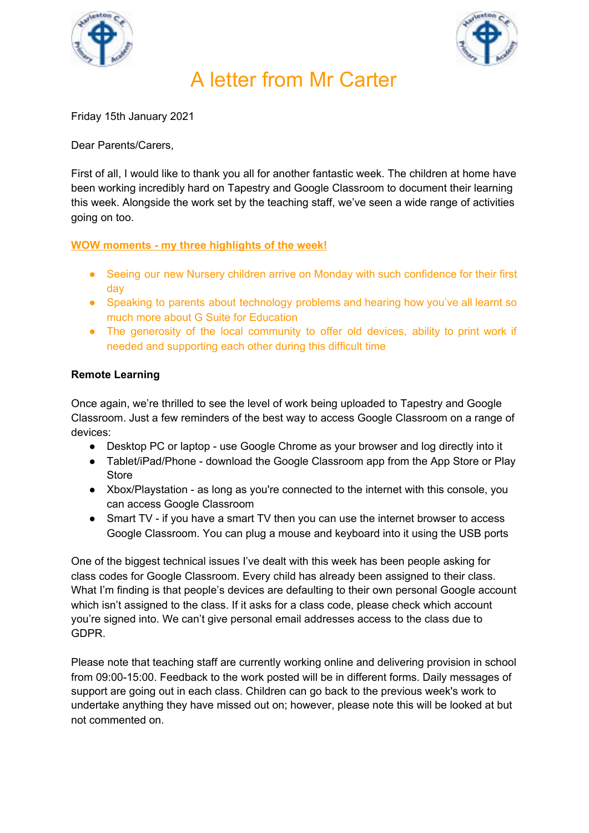



# A letter from Mr Carter

Friday 15th January 2021

Dear Parents/Carers,

First of all, I would like to thank you all for another fantastic week. The children at home have been working incredibly hard on Tapestry and Google Classroom to document their learning this week. Alongside the work set by the teaching staff, we've seen a wide range of activities going on too.

### **WOW moments - my three highlights of the week!**

- Seeing our new Nursery children arrive on Monday with such confidence for their first day
- Speaking to parents about technology problems and hearing how you've all learnt so much more about G Suite for Education
- The generosity of the local community to offer old devices, ability to print work if needed and supporting each other during this difficult time

### **Remote Learning**

Once again, we're thrilled to see the level of work being uploaded to Tapestry and Google Classroom. Just a few reminders of the best way to access Google Classroom on a range of devices:

- Desktop PC or laptop use Google Chrome as your browser and log directly into it
- Tablet/iPad/Phone download the Google Classroom app from the App Store or Play **Store**
- Xbox/Playstation as long as you're connected to the internet with this console, you can access Google Classroom
- Smart TV if you have a smart TV then you can use the internet browser to access Google Classroom. You can plug a mouse and keyboard into it using the USB ports

One of the biggest technical issues I've dealt with this week has been people asking for class codes for Google Classroom. Every child has already been assigned to their class. What I'm finding is that people's devices are defaulting to their own personal Google account which isn't assigned to the class. If it asks for a class code, please check which account you're signed into. We can't give personal email addresses access to the class due to GDPR.

Please note that teaching staff are currently working online and delivering provision in school from 09:00-15:00. Feedback to the work posted will be in different forms. Daily messages of support are going out in each class. Children can go back to the previous week's work to undertake anything they have missed out on; however, please note this will be looked at but not commented on.